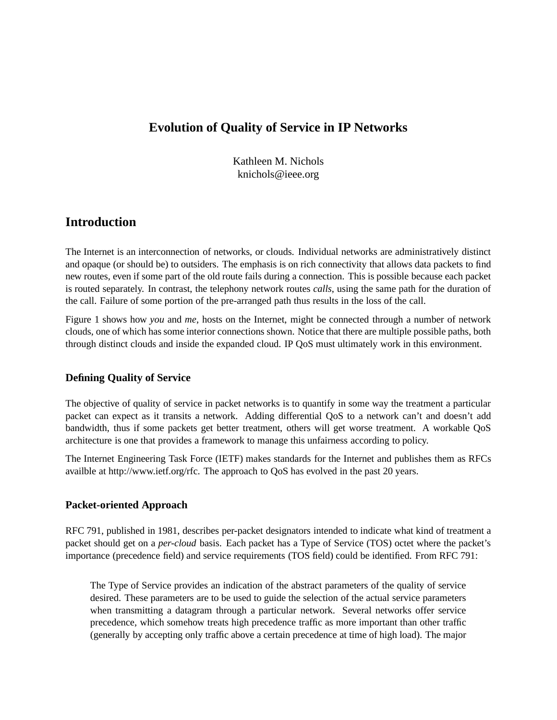### **Evolution of Quality of Service in IP Networks**

Kathleen M. Nichols knichols@ieee.org

### **Introduction**

The Internet is an interconnection of networks, or clouds. Individual networks are administratively distinct and opaque (or should be) to outsiders. The emphasis is on rich connectivity that allows data packets to find new routes, even if some part of the old route fails during a connection. This is possible because each packet is routed separately. In contrast, the telephony network routes *calls*, using the same path for the duration of the call. Failure of some portion of the pre-arranged path thus results in the loss of the call.

Figure 1 shows how *you* and *me*, hosts on the Internet, might be connected through a number of network clouds, one of which has some interior connections shown. Notice that there are multiple possible paths, both through distinct clouds and inside the expanded cloud. IP QoS must ultimately work in this environment.

### **Defining Quality of Service**

The objective of quality of service in packet networks is to quantify in some way the treatment a particular packet can expect as it transits a network. Adding differential QoS to a network can't and doesn't add bandwidth, thus if some packets get better treatment, others will get worse treatment. A workable QoS architecture is one that provides a framework to manage this unfairness according to policy.

The Internet Engineering Task Force (IETF) makes standards for the Internet and publishes them as RFCs availble at http://www.ietf.org/rfc. The approach to QoS has evolved in the past 20 years.

### **Packet-oriented Approach**

RFC 791, published in 1981, describes per-packet designators intended to indicate what kind of treatment a packet should get on a *per-cloud* basis. Each packet has a Type of Service (TOS) octet where the packet's importance (precedence field) and service requirements (TOS field) could be identified. From RFC 791:

The Type of Service provides an indication of the abstract parameters of the quality of service desired. These parameters are to be used to guide the selection of the actual service parameters when transmitting a datagram through a particular network. Several networks offer service precedence, which somehow treats high precedence traffic as more important than other traffic (generally by accepting only traffic above a certain precedence at time of high load). The major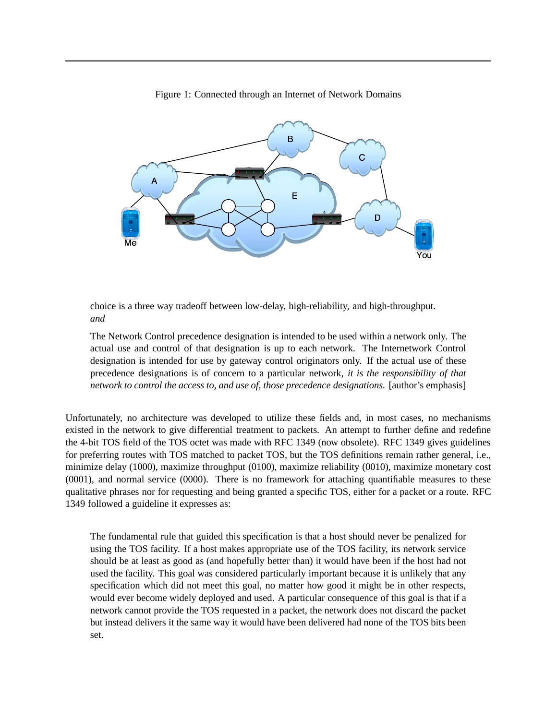

Figure 1: Connected through an Internet of Network Domains

choice is a three way tradeoff between low-delay, high-reliability, and high-throughput. *and*

The Network Control precedence designation is intended to be used within a network only. The actual use and control of that designation is up to each network. The Internetwork Control designation is intended for use by gateway control originators only. If the actual use of these precedence designations is of concern to a particular network, *it is the responsibility of that network to control the access to, and use of, those precedence designations.* [author's emphasis]

Unfortunately, no architecture was developed to utilize these fields and, in most cases, no mechanisms existed in the network to give differential treatment to packets. An attempt to further define and redefine the 4-bit TOS field of the TOS octet was made with RFC 1349 (now obsolete). RFC 1349 gives guidelines for preferring routes with TOS matched to packet TOS, but the TOS definitions remain rather general, i.e., minimize delay (1000), maximize throughput (0100), maximize reliability (0010), maximize monetary cost (0001), and normal service (0000). There is no framework for attaching quantifiable measures to these qualitative phrases nor for requesting and being granted a specific TOS, either for a packet or a route. RFC 1349 followed a guideline it expresses as:

The fundamental rule that guided this specification is that a host should never be penalized for using the TOS facility. If a host makes appropriate use of the TOS facility, its network service should be at least as good as (and hopefully better than) it would have been if the host had not used the facility. This goal was considered particularly important because it is unlikely that any specification which did not meet this goal, no matter how good it might be in other respects, would ever become widely deployed and used. A particular consequence of this goal is that if a network cannot provide the TOS requested in a packet, the network does not discard the packet but instead delivers it the same way it would have been delivered had none of the TOS bits been set.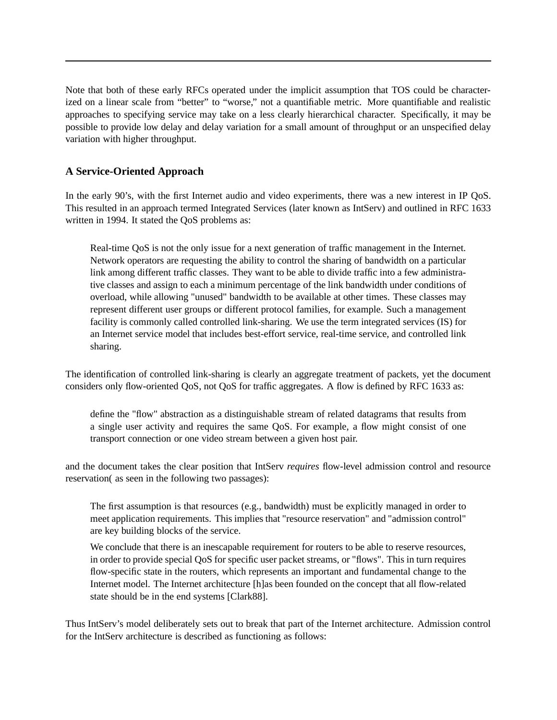Note that both of these early RFCs operated under the implicit assumption that TOS could be characterized on a linear scale from "better" to "worse," not a quantifiable metric. More quantifiable and realistic approaches to specifying service may take on a less clearly hierarchical character. Specifically, it may be possible to provide low delay and delay variation for a small amount of throughput or an unspecified delay variation with higher throughput.

### **A Service-Oriented Approach**

In the early 90's, with the first Internet audio and video experiments, there was a new interest in IP QoS. This resulted in an approach termed Integrated Services (later known as IntServ) and outlined in RFC 1633 written in 1994. It stated the QoS problems as:

Real-time QoS is not the only issue for a next generation of traffic management in the Internet. Network operators are requesting the ability to control the sharing of bandwidth on a particular link among different traffic classes. They want to be able to divide traffic into a few administrative classes and assign to each a minimum percentage of the link bandwidth under conditions of overload, while allowing "unused" bandwidth to be available at other times. These classes may represent different user groups or different protocol families, for example. Such a management facility is commonly called controlled link-sharing. We use the term integrated services (IS) for an Internet service model that includes best-effort service, real-time service, and controlled link sharing.

The identification of controlled link-sharing is clearly an aggregate treatment of packets, yet the document considers only flow-oriented QoS, not QoS for traffic aggregates. A flow is defined by RFC 1633 as:

define the "flow" abstraction as a distinguishable stream of related datagrams that results from a single user activity and requires the same QoS. For example, a flow might consist of one transport connection or one video stream between a given host pair.

and the document takes the clear position that IntServ *requires* flow-level admission control and resource reservation( as seen in the following two passages):

The first assumption is that resources (e.g., bandwidth) must be explicitly managed in order to meet application requirements. This implies that "resource reservation" and "admission control" are key building blocks of the service.

We conclude that there is an inescapable requirement for routers to be able to reserve resources, in order to provide special QoS for specific user packet streams, or "flows". This in turn requires flow-specific state in the routers, which represents an important and fundamental change to the Internet model. The Internet architecture [h]as been founded on the concept that all flow-related state should be in the end systems [Clark88].

Thus IntServ's model deliberately sets out to break that part of the Internet architecture. Admission control for the IntServ architecture is described as functioning as follows: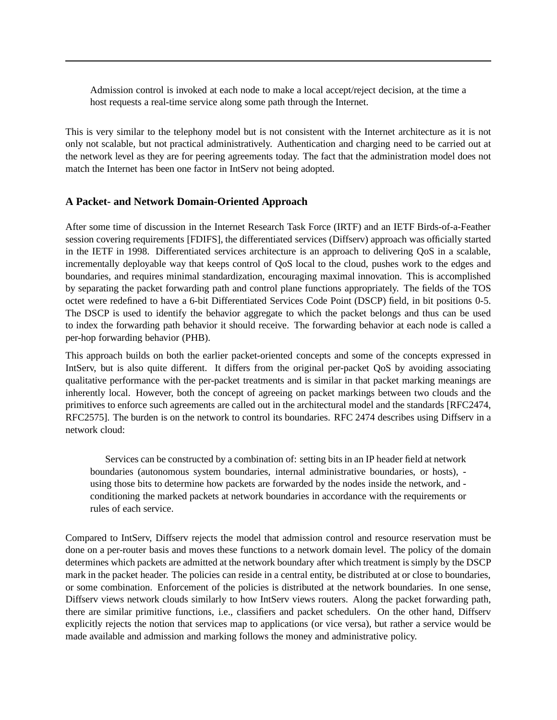Admission control is invoked at each node to make a local accept/reject decision, at the time a host requests a real-time service along some path through the Internet.

This is very similar to the telephony model but is not consistent with the Internet architecture as it is not only not scalable, but not practical administratively. Authentication and charging need to be carried out at the network level as they are for peering agreements today. The fact that the administration model does not match the Internet has been one factor in IntServ not being adopted.

#### **A Packet- and Network Domain-Oriented Approach**

After some time of discussion in the Internet Research Task Force (IRTF) and an IETF Birds-of-a-Feather session covering requirements [FDIFS], the differentiated services (Diffserv) approach was officially started in the IETF in 1998. Differentiated services architecture is an approach to delivering QoS in a scalable, incrementally deployable way that keeps control of QoS local to the cloud, pushes work to the edges and boundaries, and requires minimal standardization, encouraging maximal innovation. This is accomplished by separating the packet forwarding path and control plane functions appropriately. The fields of the TOS octet were redefined to have a 6-bit Differentiated Services Code Point (DSCP) field, in bit positions 0-5. The DSCP is used to identify the behavior aggregate to which the packet belongs and thus can be used to index the forwarding path behavior it should receive. The forwarding behavior at each node is called a per-hop forwarding behavior (PHB).

This approach builds on both the earlier packet-oriented concepts and some of the concepts expressed in IntServ, but is also quite different. It differs from the original per-packet QoS by avoiding associating qualitative performance with the per-packet treatments and is similar in that packet marking meanings are inherently local. However, both the concept of agreeing on packet markings between two clouds and the primitives to enforce such agreements are called out in the architectural model and the standards [RFC2474, RFC2575]. The burden is on the network to control its boundaries. RFC 2474 describes using Diffserv in a network cloud:

Services can be constructed by a combination of: setting bits in an IP header field at network boundaries (autonomous system boundaries, internal administrative boundaries, or hosts), using those bits to determine how packets are forwarded by the nodes inside the network, and conditioning the marked packets at network boundaries in accordance with the requirements or rules of each service.

Compared to IntServ, Diffserv rejects the model that admission control and resource reservation must be done on a per-router basis and moves these functions to a network domain level. The policy of the domain determines which packets are admitted at the network boundary after which treatment is simply by the DSCP mark in the packet header. The policies can reside in a central entity, be distributed at or close to boundaries, or some combination. Enforcement of the policies is distributed at the network boundaries. In one sense, Diffserv views network clouds similarly to how IntServ views routers. Along the packet forwarding path, there are similar primitive functions, i.e., classifiers and packet schedulers. On the other hand, Diffserv explicitly rejects the notion that services map to applications (or vice versa), but rather a service would be made available and admission and marking follows the money and administrative policy.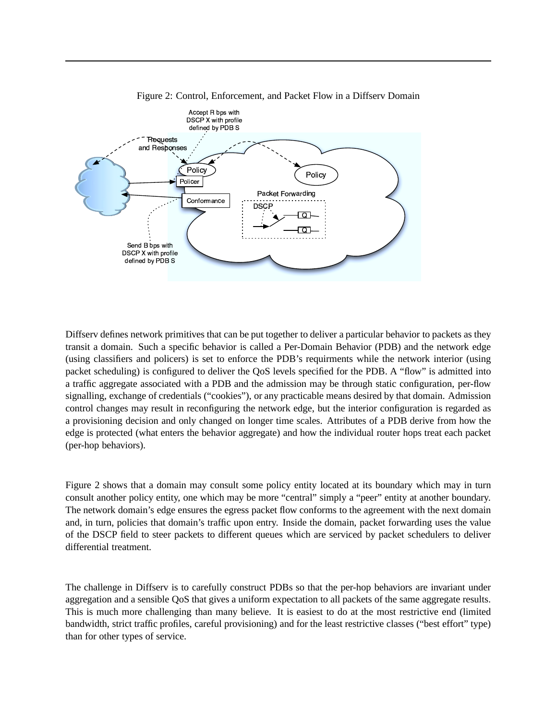



Diffserv defines network primitives that can be put together to deliver a particular behavior to packets as they transit a domain. Such a specific behavior is called a Per-Domain Behavior (PDB) and the network edge (using classifiers and policers) is set to enforce the PDB's requirments while the network interior (using packet scheduling) is configured to deliver the QoS levels specified for the PDB. A "flow" is admitted into a traffic aggregate associated with a PDB and the admission may be through static configuration, per-flow signalling, exchange of credentials ("cookies"), or any practicable means desired by that domain. Admission control changes may result in reconfiguring the network edge, but the interior configuration is regarded as a provisioning decision and only changed on longer time scales. Attributes of a PDB derive from how the edge is protected (what enters the behavior aggregate) and how the individual router hops treat each packet (per-hop behaviors).

Figure 2 shows that a domain may consult some policy entity located at its boundary which may in turn consult another policy entity, one which may be more "central" simply a "peer" entity at another boundary. The network domain's edge ensures the egress packet flow conforms to the agreement with the next domain and, in turn, policies that domain's traffic upon entry. Inside the domain, packet forwarding uses the value of the DSCP field to steer packets to different queues which are serviced by packet schedulers to deliver differential treatment.

The challenge in Diffserv is to carefully construct PDBs so that the per-hop behaviors are invariant under aggregation and a sensible QoS that gives a uniform expectation to all packets of the same aggregate results. This is much more challenging than many believe. It is easiest to do at the most restrictive end (limited bandwidth, strict traffic profiles, careful provisioning) and for the least restrictive classes ("best effort" type) than for other types of service.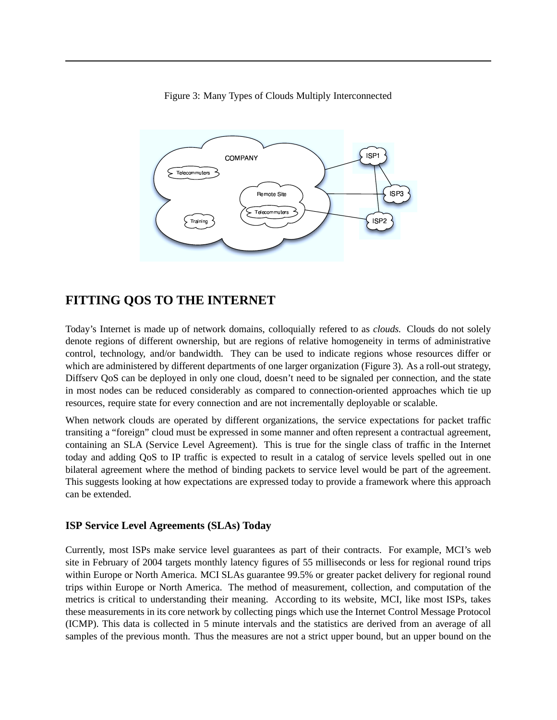



## **FITTING QOS TO THE INTERNET**

Today's Internet is made up of network domains, colloquially refered to as *clouds.* Clouds do not solely denote regions of different ownership, but are regions of relative homogeneity in terms of administrative control, technology, and/or bandwidth. They can be used to indicate regions whose resources differ or which are administered by different departments of one larger organization (Figure 3). As a roll-out strategy, Diffserv QoS can be deployed in only one cloud, doesn't need to be signaled per connection, and the state in most nodes can be reduced considerably as compared to connection-oriented approaches which tie up resources, require state for every connection and are not incrementally deployable or scalable.

When network clouds are operated by different organizations, the service expectations for packet traffic transiting a "foreign" cloud must be expressed in some manner and often represent a contractual agreement, containing an SLA (Service Level Agreement). This is true for the single class of traffic in the Internet today and adding QoS to IP traffic is expected to result in a catalog of service levels spelled out in one bilateral agreement where the method of binding packets to service level would be part of the agreement. This suggests looking at how expectations are expressed today to provide a framework where this approach can be extended.

### **ISP Service Level Agreements (SLAs) Today**

Currently, most ISPs make service level guarantees as part of their contracts. For example, MCI's web site in February of 2004 targets monthly latency figures of 55 milliseconds or less for regional round trips within Europe or North America. MCI SLAs guarantee 99.5% or greater packet delivery for regional round trips within Europe or North America. The method of measurement, collection, and computation of the metrics is critical to understanding their meaning. According to its website, MCI, like most ISPs, takes these measurements in its core network by collecting pings which use the Internet Control Message Protocol (ICMP). This data is collected in 5 minute intervals and the statistics are derived from an average of all samples of the previous month. Thus the measures are not a strict upper bound, but an upper bound on the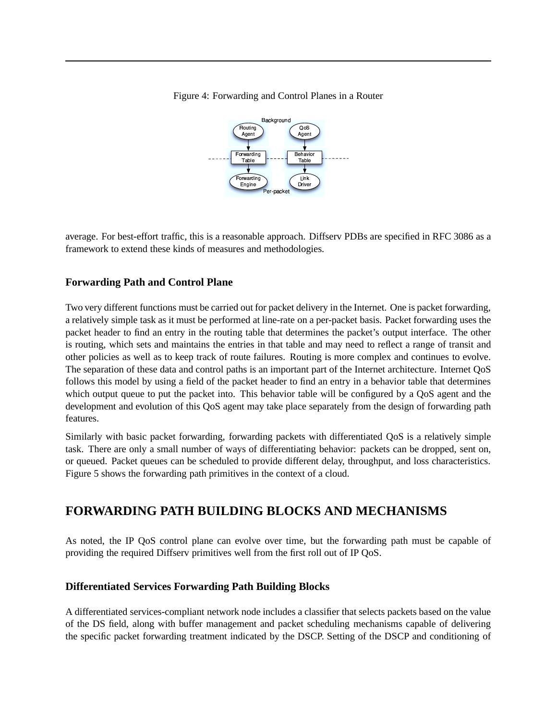Figure 4: Forwarding and Control Planes in a Router



average. For best-effort traffic, this is a reasonable approach. Diffserv PDBs are specified in RFC 3086 as a framework to extend these kinds of measures and methodologies.

#### **Forwarding Path and Control Plane**

Two very different functions must be carried out for packet delivery in the Internet. One is packet forwarding, a relatively simple task as it must be performed at line-rate on a per-packet basis. Packet forwarding uses the packet header to find an entry in the routing table that determines the packet's output interface. The other is routing, which sets and maintains the entries in that table and may need to reflect a range of transit and other policies as well as to keep track of route failures. Routing is more complex and continues to evolve. The separation of these data and control paths is an important part of the Internet architecture. Internet QoS follows this model by using a field of the packet header to find an entry in a behavior table that determines which output queue to put the packet into. This behavior table will be configured by a QoS agent and the development and evolution of this QoS agent may take place separately from the design of forwarding path features.

Similarly with basic packet forwarding, forwarding packets with differentiated QoS is a relatively simple task. There are only a small number of ways of differentiating behavior: packets can be dropped, sent on, or queued. Packet queues can be scheduled to provide different delay, throughput, and loss characteristics. Figure 5 shows the forwarding path primitives in the context of a cloud.

## **FORWARDING PATH BUILDING BLOCKS AND MECHANISMS**

As noted, the IP QoS control plane can evolve over time, but the forwarding path must be capable of providing the required Diffserv primitives well from the first roll out of IP QoS.

### **Differentiated Services Forwarding Path Building Blocks**

A differentiated services-compliant network node includes a classifier that selects packets based on the value of the DS field, along with buffer management and packet scheduling mechanisms capable of delivering the specific packet forwarding treatment indicated by the DSCP. Setting of the DSCP and conditioning of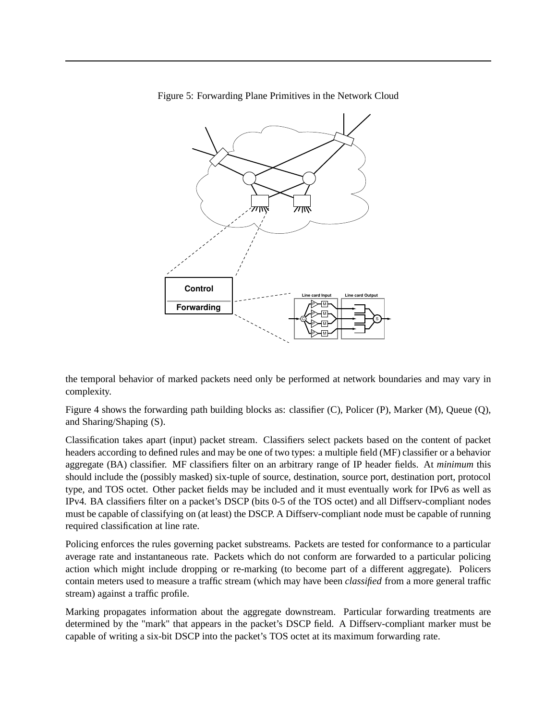

Figure 5: Forwarding Plane Primitives in the Network Cloud

the temporal behavior of marked packets need only be performed at network boundaries and may vary in complexity.

Figure 4 shows the forwarding path building blocks as: classifier (C), Policer (P), Marker (M), Queue (Q), and Sharing/Shaping (S).

Classification takes apart (input) packet stream. Classifiers select packets based on the content of packet headers according to defined rules and may be one of two types: a multiple field (MF) classifier or a behavior aggregate (BA) classifier. MF classifiers filter on an arbitrary range of IP header fields. At *minimum* this should include the (possibly masked) six-tuple of source, destination, source port, destination port, protocol type, and TOS octet. Other packet fields may be included and it must eventually work for IPv6 as well as IPv4. BA classifiers filter on a packet's DSCP (bits 0-5 of the TOS octet) and all Diffserv-compliant nodes must be capable of classifying on (at least) the DSCP. A Diffserv-compliant node must be capable of running required classification at line rate.

Policing enforces the rules governing packet substreams. Packets are tested for conformance to a particular average rate and instantaneous rate. Packets which do not conform are forwarded to a particular policing action which might include dropping or re-marking (to become part of a different aggregate). Policers contain meters used to measure a traffic stream (which may have been *classified* from a more general traffic stream) against a traffic profile.

Marking propagates information about the aggregate downstream. Particular forwarding treatments are determined by the "mark" that appears in the packet's DSCP field. A Diffserv-compliant marker must be capable of writing a six-bit DSCP into the packet's TOS octet at its maximum forwarding rate.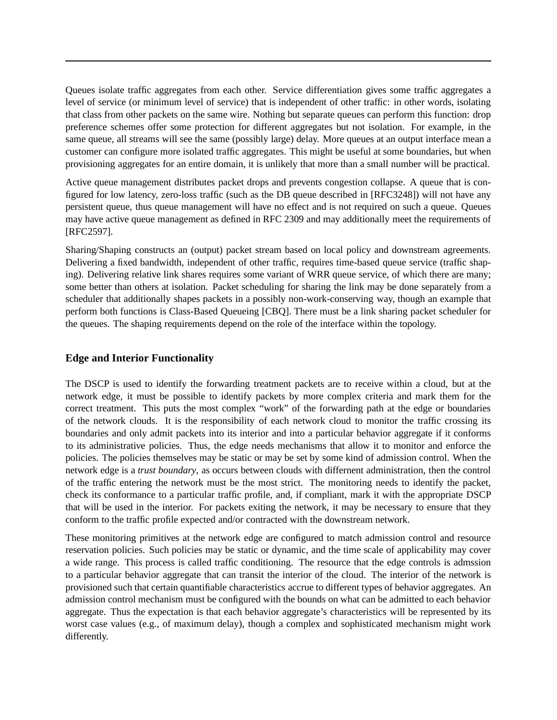Queues isolate traffic aggregates from each other. Service differentiation gives some traffic aggregates a level of service (or minimum level of service) that is independent of other traffic: in other words, isolating that class from other packets on the same wire. Nothing but separate queues can perform this function: drop preference schemes offer some protection for different aggregates but not isolation. For example, in the same queue, all streams will see the same (possibly large) delay. More queues at an output interface mean a customer can configure more isolated traffic aggregates. This might be useful at some boundaries, but when provisioning aggregates for an entire domain, it is unlikely that more than a small number will be practical.

Active queue management distributes packet drops and prevents congestion collapse. A queue that is configured for low latency, zero-loss traffic (such as the DB queue described in [RFC3248]) will not have any persistent queue, thus queue management will have no effect and is not required on such a queue. Queues may have active queue management as defined in RFC 2309 and may additionally meet the requirements of [RFC2597].

Sharing/Shaping constructs an (output) packet stream based on local policy and downstream agreements. Delivering a fixed bandwidth, independent of other traffic, requires time-based queue service (traffic shaping). Delivering relative link shares requires some variant of WRR queue service, of which there are many; some better than others at isolation. Packet scheduling for sharing the link may be done separately from a scheduler that additionally shapes packets in a possibly non-work-conserving way, though an example that perform both functions is Class-Based Queueing [CBQ]. There must be a link sharing packet scheduler for the queues. The shaping requirements depend on the role of the interface within the topology.

### **Edge and Interior Functionality**

The DSCP is used to identify the forwarding treatment packets are to receive within a cloud, but at the network edge, it must be possible to identify packets by more complex criteria and mark them for the correct treatment. This puts the most complex "work" of the forwarding path at the edge or boundaries of the network clouds. It is the responsibility of each network cloud to monitor the traffic crossing its boundaries and only admit packets into its interior and into a particular behavior aggregate if it conforms to its administrative policies. Thus, the edge needs mechanisms that allow it to monitor and enforce the policies. The policies themselves may be static or may be set by some kind of admission control. When the network edge is a *trust boundary*, as occurs between clouds with differnent administration, then the control of the traffic entering the network must be the most strict. The monitoring needs to identify the packet, check its conformance to a particular traffic profile, and, if compliant, mark it with the appropriate DSCP that will be used in the interior. For packets exiting the network, it may be necessary to ensure that they conform to the traffic profile expected and/or contracted with the downstream network.

These monitoring primitives at the network edge are configured to match admission control and resource reservation policies. Such policies may be static or dynamic, and the time scale of applicability may cover a wide range. This process is called traffic conditioning. The resource that the edge controls is admssion to a particular behavior aggregate that can transit the interior of the cloud. The interior of the network is provisioned such that certain quantifiable characteristics accrue to different types of behavior aggregates. An admission control mechanism must be configured with the bounds on what can be admitted to each behavior aggregate. Thus the expectation is that each behavior aggregate's characteristics will be represented by its worst case values (e.g., of maximum delay), though a complex and sophisticated mechanism might work differently.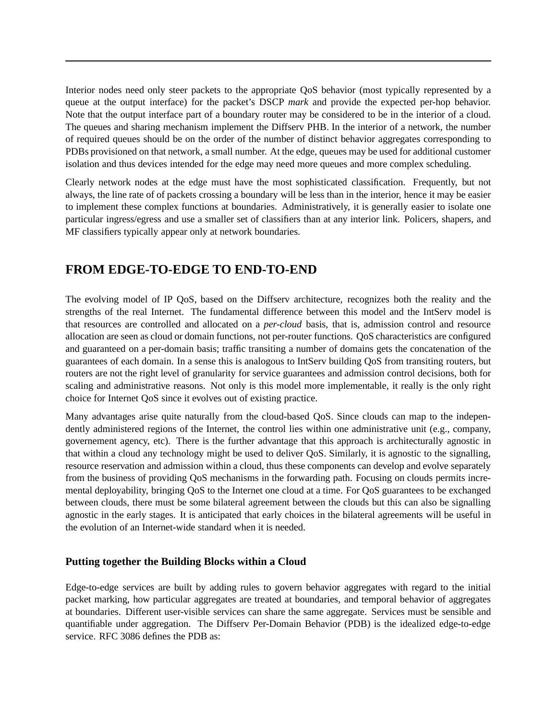Interior nodes need only steer packets to the appropriate QoS behavior (most typically represented by a queue at the output interface) for the packet's DSCP *mark* and provide the expected per-hop behavior. Note that the output interface part of a boundary router may be considered to be in the interior of a cloud. The queues and sharing mechanism implement the Diffserv PHB. In the interior of a network, the number of required queues should be on the order of the number of distinct behavior aggregates corresponding to PDBs provisioned on that network, a small number. At the edge, queues may be used for additional customer isolation and thus devices intended for the edge may need more queues and more complex scheduling.

Clearly network nodes at the edge must have the most sophisticated classification. Frequently, but not always, the line rate of of packets crossing a boundary will be less than in the interior, hence it may be easier to implement these complex functions at boundaries. Administratively, it is generally easier to isolate one particular ingress/egress and use a smaller set of classifiers than at any interior link. Policers, shapers, and MF classifiers typically appear only at network boundaries.

## **FROM EDGE-TO-EDGE TO END-TO-END**

The evolving model of IP QoS, based on the Diffserv architecture, recognizes both the reality and the strengths of the real Internet. The fundamental difference between this model and the IntServ model is that resources are controlled and allocated on a *per-cloud* basis, that is, admission control and resource allocation are seen as cloud or domain functions, not per-router functions. QoS characteristics are configured and guaranteed on a per-domain basis; traffic transiting a number of domains gets the concatenation of the guarantees of each domain. In a sense this is analogous to IntServ building QoS from transiting routers, but routers are not the right level of granularity for service guarantees and admission control decisions, both for scaling and administrative reasons. Not only is this model more implementable, it really is the only right choice for Internet QoS since it evolves out of existing practice.

Many advantages arise quite naturally from the cloud-based QoS. Since clouds can map to the independently administered regions of the Internet, the control lies within one administrative unit (e.g., company, governement agency, etc). There is the further advantage that this approach is architecturally agnostic in that within a cloud any technology might be used to deliver QoS. Similarly, it is agnostic to the signalling, resource reservation and admission within a cloud, thus these components can develop and evolve separately from the business of providing QoS mechanisms in the forwarding path. Focusing on clouds permits incremental deployability, bringing QoS to the Internet one cloud at a time. For QoS guarantees to be exchanged between clouds, there must be some bilateral agreement between the clouds but this can also be signalling agnostic in the early stages. It is anticipated that early choices in the bilateral agreements will be useful in the evolution of an Internet-wide standard when it is needed.

### **Putting together the Building Blocks within a Cloud**

Edge-to-edge services are built by adding rules to govern behavior aggregates with regard to the initial packet marking, how particular aggregates are treated at boundaries, and temporal behavior of aggregates at boundaries. Different user-visible services can share the same aggregate. Services must be sensible and quantifiable under aggregation. The Diffserv Per-Domain Behavior (PDB) is the idealized edge-to-edge service. RFC 3086 defines the PDB as: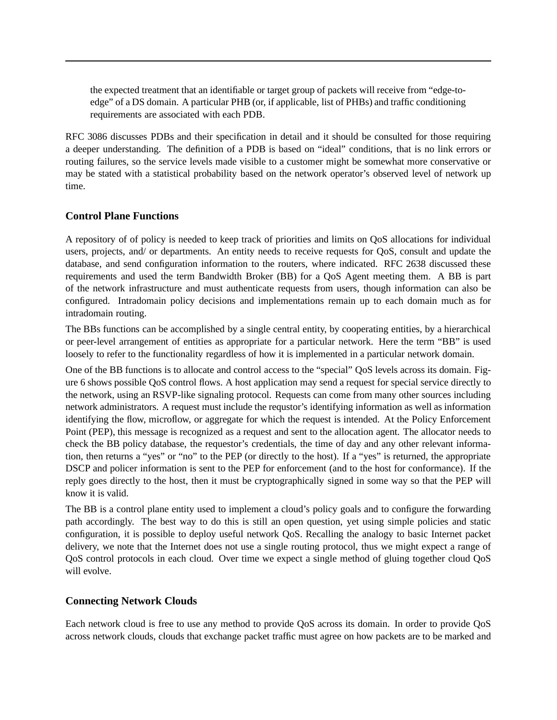the expected treatment that an identifiable or target group of packets will receive from "edge-toedge" of a DS domain. A particular PHB (or, if applicable, list of PHBs) and traffic conditioning requirements are associated with each PDB.

RFC 3086 discusses PDBs and their specification in detail and it should be consulted for those requiring a deeper understanding. The definition of a PDB is based on "ideal" conditions, that is no link errors or routing failures, so the service levels made visible to a customer might be somewhat more conservative or may be stated with a statistical probability based on the network operator's observed level of network up time.

### **Control Plane Functions**

A repository of of policy is needed to keep track of priorities and limits on QoS allocations for individual users, projects, and/ or departments. An entity needs to receive requests for QoS, consult and update the database, and send configuration information to the routers, where indicated. RFC 2638 discussed these requirements and used the term Bandwidth Broker (BB) for a QoS Agent meeting them. A BB is part of the network infrastructure and must authenticate requests from users, though information can also be configured. Intradomain policy decisions and implementations remain up to each domain much as for intradomain routing.

The BBs functions can be accomplished by a single central entity, by cooperating entities, by a hierarchical or peer-level arrangement of entities as appropriate for a particular network. Here the term "BB" is used loosely to refer to the functionality regardless of how it is implemented in a particular network domain.

One of the BB functions is to allocate and control access to the "special" QoS levels across its domain. Figure 6 shows possible QoS control flows. A host application may send a request for special service directly to the network, using an RSVP-like signaling protocol. Requests can come from many other sources including network administrators. A request must include the requstor's identifying information as well as information identifying the flow, microflow, or aggregate for which the request is intended. At the Policy Enforcement Point (PEP), this message is recognized as a request and sent to the allocation agent. The allocator needs to check the BB policy database, the requestor's credentials, the time of day and any other relevant information, then returns a "yes" or "no" to the PEP (or directly to the host). If a "yes" is returned, the appropriate DSCP and policer information is sent to the PEP for enforcement (and to the host for conformance). If the reply goes directly to the host, then it must be cryptographically signed in some way so that the PEP will know it is valid.

The BB is a control plane entity used to implement a cloud's policy goals and to configure the forwarding path accordingly. The best way to do this is still an open question, yet using simple policies and static configuration, it is possible to deploy useful network QoS. Recalling the analogy to basic Internet packet delivery, we note that the Internet does not use a single routing protocol, thus we might expect a range of QoS control protocols in each cloud. Over time we expect a single method of gluing together cloud QoS will evolve.

#### **Connecting Network Clouds**

Each network cloud is free to use any method to provide QoS across its domain. In order to provide QoS across network clouds, clouds that exchange packet traffic must agree on how packets are to be marked and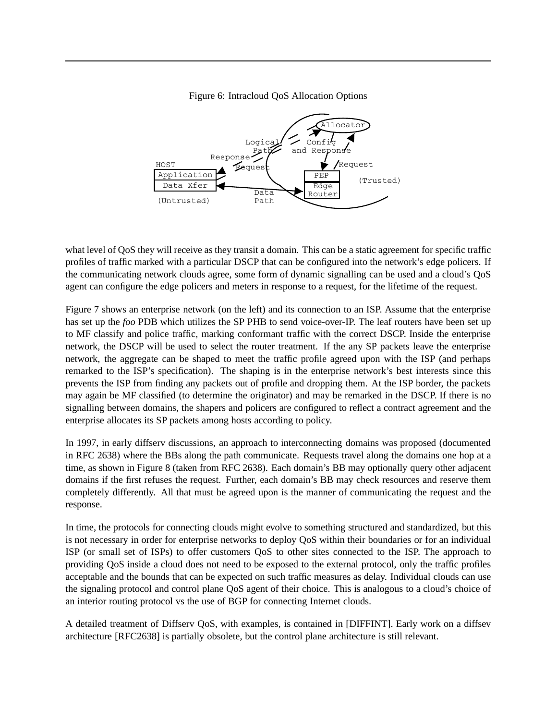

Figure 6: Intracloud QoS Allocation Options

what level of QoS they will receive as they transit a domain. This can be a static agreement for specific traffic profiles of traffic marked with a particular DSCP that can be configured into the network's edge policers. If the communicating network clouds agree, some form of dynamic signalling can be used and a cloud's QoS agent can configure the edge policers and meters in response to a request, for the lifetime of the request.

Figure 7 shows an enterprise network (on the left) and its connection to an ISP. Assume that the enterprise has set up the *foo* PDB which utilizes the SP PHB to send voice-over-IP. The leaf routers have been set up to MF classify and police traffic, marking conformant traffic with the correct DSCP. Inside the enterprise network, the DSCP will be used to select the router treatment. If the any SP packets leave the enterprise network, the aggregate can be shaped to meet the traffic profile agreed upon with the ISP (and perhaps remarked to the ISP's specification). The shaping is in the enterprise network's best interests since this prevents the ISP from finding any packets out of profile and dropping them. At the ISP border, the packets may again be MF classified (to determine the originator) and may be remarked in the DSCP. If there is no signalling between domains, the shapers and policers are configured to reflect a contract agreement and the enterprise allocates its SP packets among hosts according to policy.

In 1997, in early diffserv discussions, an approach to interconnecting domains was proposed (documented in RFC 2638) where the BBs along the path communicate. Requests travel along the domains one hop at a time, as shown in Figure 8 (taken from RFC 2638). Each domain's BB may optionally query other adjacent domains if the first refuses the request. Further, each domain's BB may check resources and reserve them completely differently. All that must be agreed upon is the manner of communicating the request and the response.

In time, the protocols for connecting clouds might evolve to something structured and standardized, but this is not necessary in order for enterprise networks to deploy QoS within their boundaries or for an individual ISP (or small set of ISPs) to offer customers QoS to other sites connected to the ISP. The approach to providing QoS inside a cloud does not need to be exposed to the external protocol, only the traffic profiles acceptable and the bounds that can be expected on such traffic measures as delay. Individual clouds can use the signaling protocol and control plane QoS agent of their choice. This is analogous to a cloud's choice of an interior routing protocol vs the use of BGP for connecting Internet clouds.

A detailed treatment of Diffserv QoS, with examples, is contained in [DIFFINT]. Early work on a diffsev architecture [RFC2638] is partially obsolete, but the control plane architecture is still relevant.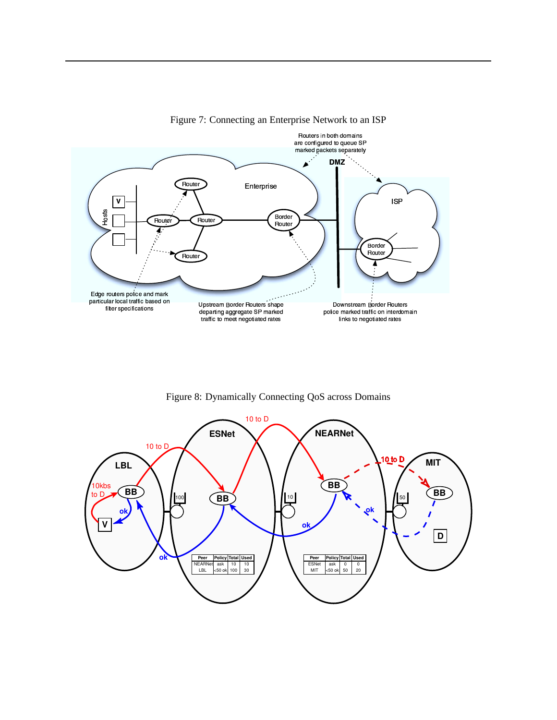

Figure 7: Connecting an Enterprise Network to an ISP

Figure 8: Dynamically Connecting QoS across Domains